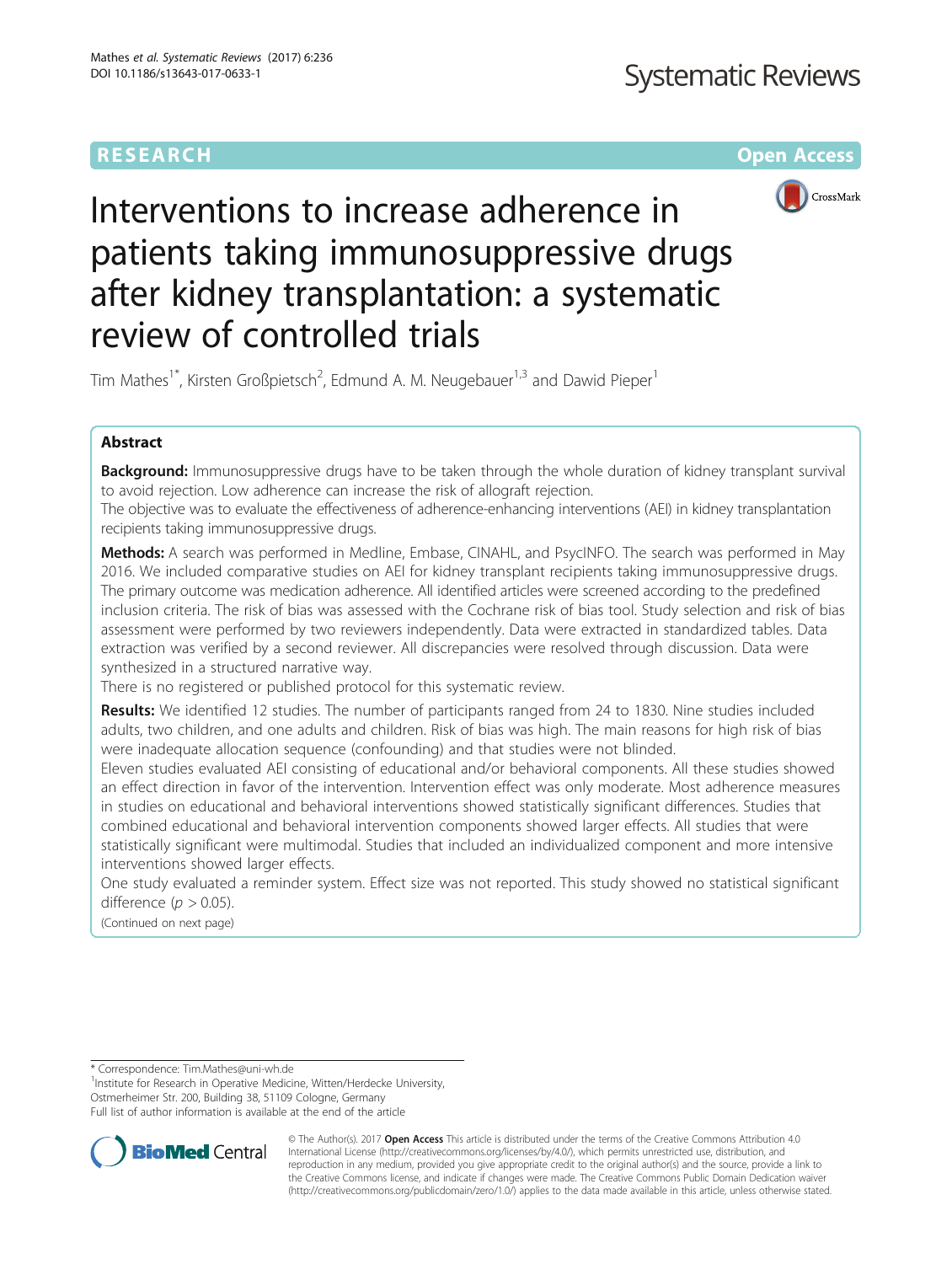# **RESEARCH CHEAR CHEAR CHEAR CHEAR CHEAR CHEAR CHEAR CHEAR CHEAR CHEAR CHEAR CHEAR CHEAR CHEAR CHEAR CHEAR CHEAR**



# Interventions to increase adherence in patients taking immunosuppressive drugs after kidney transplantation: a systematic review of controlled trials

Tim Mathes<sup>1\*</sup>, Kirsten Großpietsch<sup>2</sup>, Edmund A. M. Neugebauer<sup>1,3</sup> and Dawid Pieper<sup>1</sup>

# Abstract

Background: Immunosuppressive drugs have to be taken through the whole duration of kidney transplant survival to avoid rejection. Low adherence can increase the risk of allograft rejection.

The objective was to evaluate the effectiveness of adherence-enhancing interventions (AEI) in kidney transplantation recipients taking immunosuppressive drugs.

Methods: A search was performed in Medline, Embase, CINAHL, and PsycINFO. The search was performed in May 2016. We included comparative studies on AEI for kidney transplant recipients taking immunosuppressive drugs. The primary outcome was medication adherence. All identified articles were screened according to the predefined inclusion criteria. The risk of bias was assessed with the Cochrane risk of bias tool. Study selection and risk of bias assessment were performed by two reviewers independently. Data were extracted in standardized tables. Data extraction was verified by a second reviewer. All discrepancies were resolved through discussion. Data were synthesized in a structured narrative way.

There is no registered or published protocol for this systematic review.

Results: We identified 12 studies. The number of participants ranged from 24 to 1830. Nine studies included adults, two children, and one adults and children. Risk of bias was high. The main reasons for high risk of bias were inadequate allocation sequence (confounding) and that studies were not blinded.

Eleven studies evaluated AEI consisting of educational and/or behavioral components. All these studies showed an effect direction in favor of the intervention. Intervention effect was only moderate. Most adherence measures in studies on educational and behavioral interventions showed statistically significant differences. Studies that combined educational and behavioral intervention components showed larger effects. All studies that were statistically significant were multimodal. Studies that included an individualized component and more intensive interventions showed larger effects.

One study evaluated a reminder system. Effect size was not reported. This study showed no statistical significant difference ( $p > 0.05$ ).

(Continued on next page)

\* Correspondence: [Tim.Mathes@uni-wh.de](mailto:Tim.Mathes@uni-wh.de) <sup>1</sup>

<sup>1</sup>Institute for Research in Operative Medicine, Witten/Herdecke University, Ostmerheimer Str. 200, Building 38, 51109 Cologne, Germany Full list of author information is available at the end of the article



© The Author(s). 2017 **Open Access** This article is distributed under the terms of the Creative Commons Attribution 4.0 International License [\(http://creativecommons.org/licenses/by/4.0/](http://creativecommons.org/licenses/by/4.0/)), which permits unrestricted use, distribution, and reproduction in any medium, provided you give appropriate credit to the original author(s) and the source, provide a link to the Creative Commons license, and indicate if changes were made. The Creative Commons Public Domain Dedication waiver [\(http://creativecommons.org/publicdomain/zero/1.0/](http://creativecommons.org/publicdomain/zero/1.0/)) applies to the data made available in this article, unless otherwise stated.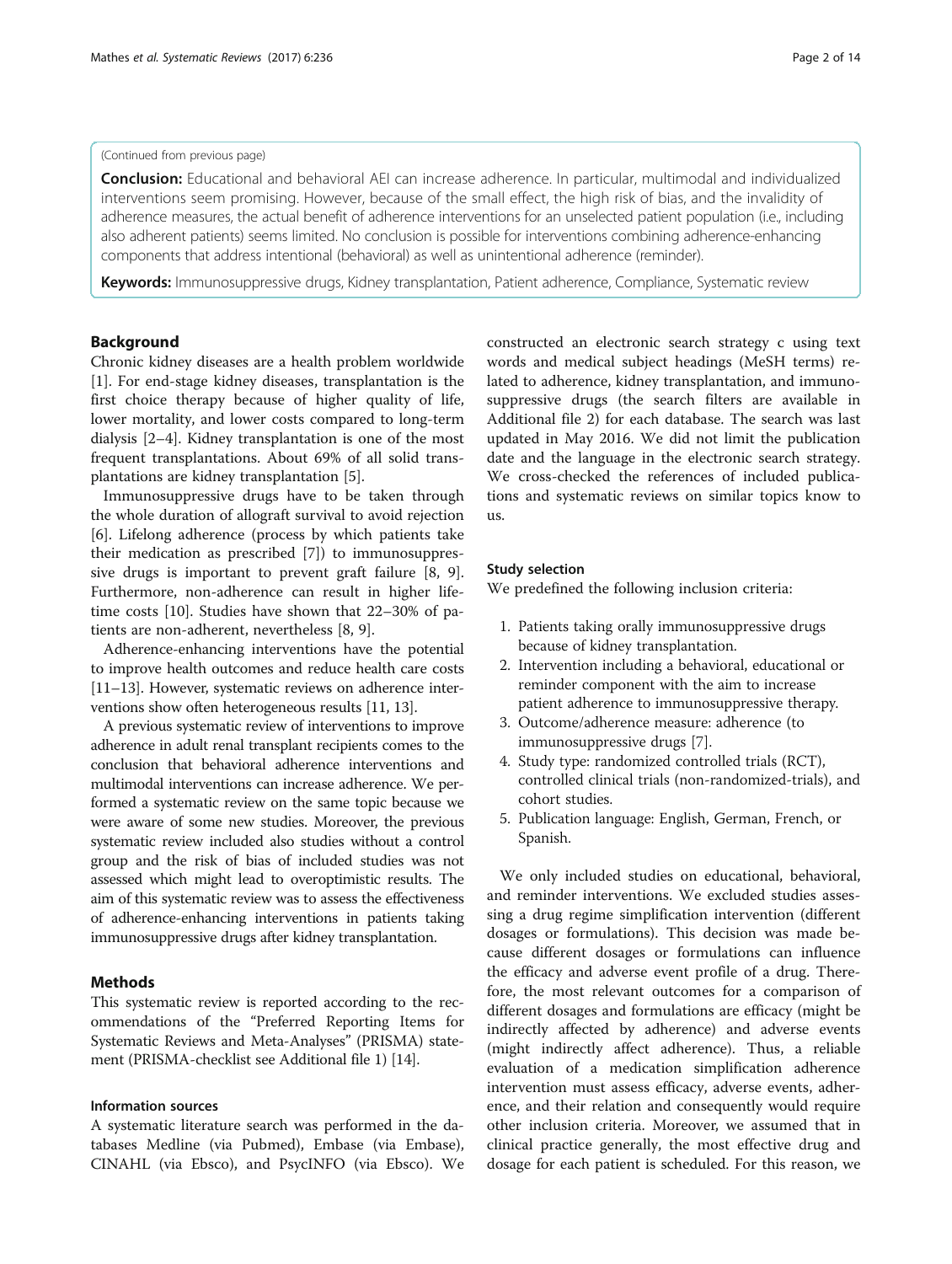#### (Continued from previous page)

Conclusion: Educational and behavioral AEI can increase adherence. In particular, multimodal and individualized interventions seem promising. However, because of the small effect, the high risk of bias, and the invalidity of adherence measures, the actual benefit of adherence interventions for an unselected patient population (i.e., including also adherent patients) seems limited. No conclusion is possible for interventions combining adherence-enhancing components that address intentional (behavioral) as well as unintentional adherence (reminder).

Keywords: Immunosuppressive drugs, Kidney transplantation, Patient adherence, Compliance, Systematic review

# Background

Chronic kidney diseases are a health problem worldwide [[1\]](#page-13-0). For end-stage kidney diseases, transplantation is the first choice therapy because of higher quality of life, lower mortality, and lower costs compared to long-term dialysis [[2](#page-13-0)–[4](#page-13-0)]. Kidney transplantation is one of the most frequent transplantations. About 69% of all solid transplantations are kidney transplantation [\[5\]](#page-13-0).

Immunosuppressive drugs have to be taken through the whole duration of allograft survival to avoid rejection [[6\]](#page-13-0). Lifelong adherence (process by which patients take their medication as prescribed [\[7](#page-13-0)]) to immunosuppressive drugs is important to prevent graft failure [\[8](#page-13-0), [9](#page-13-0)]. Furthermore, non-adherence can result in higher lifetime costs [[10\]](#page-13-0). Studies have shown that 22–30% of patients are non-adherent, nevertheless [\[8](#page-13-0), [9](#page-13-0)].

Adherence-enhancing interventions have the potential to improve health outcomes and reduce health care costs [[11](#page-13-0)–[13\]](#page-13-0). However, systematic reviews on adherence interventions show often heterogeneous results [\[11, 13](#page-13-0)].

A previous systematic review of interventions to improve adherence in adult renal transplant recipients comes to the conclusion that behavioral adherence interventions and multimodal interventions can increase adherence. We performed a systematic review on the same topic because we were aware of some new studies. Moreover, the previous systematic review included also studies without a control group and the risk of bias of included studies was not assessed which might lead to overoptimistic results. The aim of this systematic review was to assess the effectiveness of adherence-enhancing interventions in patients taking immunosuppressive drugs after kidney transplantation.

# Methods

This systematic review is reported according to the recommendations of the "Preferred Reporting Items for Systematic Reviews and Meta-Analyses" (PRISMA) statement (PRISMA-checklist see Additional file [1](#page-12-0)) [\[14\]](#page-13-0).

# Information sources

A systematic literature search was performed in the databases Medline (via Pubmed), Embase (via Embase), CINAHL (via Ebsco), and PsycINFO (via Ebsco). We constructed an electronic search strategy c using text words and medical subject headings (MeSH terms) related to adherence, kidney transplantation, and immunosuppressive drugs (the search filters are available in Additional file [2](#page-12-0)) for each database. The search was last updated in May 2016. We did not limit the publication date and the language in the electronic search strategy. We cross-checked the references of included publications and systematic reviews on similar topics know to us.

# Study selection

We predefined the following inclusion criteria:

- 1. Patients taking orally immunosuppressive drugs because of kidney transplantation.
- 2. Intervention including a behavioral, educational or reminder component with the aim to increase patient adherence to immunosuppressive therapy.
- 3. Outcome/adherence measure: adherence (to immunosuppressive drugs [[7](#page-13-0)].
- 4. Study type: randomized controlled trials (RCT), controlled clinical trials (non-randomized-trials), and cohort studies.
- 5. Publication language: English, German, French, or Spanish.

We only included studies on educational, behavioral, and reminder interventions. We excluded studies assessing a drug regime simplification intervention (different dosages or formulations). This decision was made because different dosages or formulations can influence the efficacy and adverse event profile of a drug. Therefore, the most relevant outcomes for a comparison of different dosages and formulations are efficacy (might be indirectly affected by adherence) and adverse events (might indirectly affect adherence). Thus, a reliable evaluation of a medication simplification adherence intervention must assess efficacy, adverse events, adherence, and their relation and consequently would require other inclusion criteria. Moreover, we assumed that in clinical practice generally, the most effective drug and dosage for each patient is scheduled. For this reason, we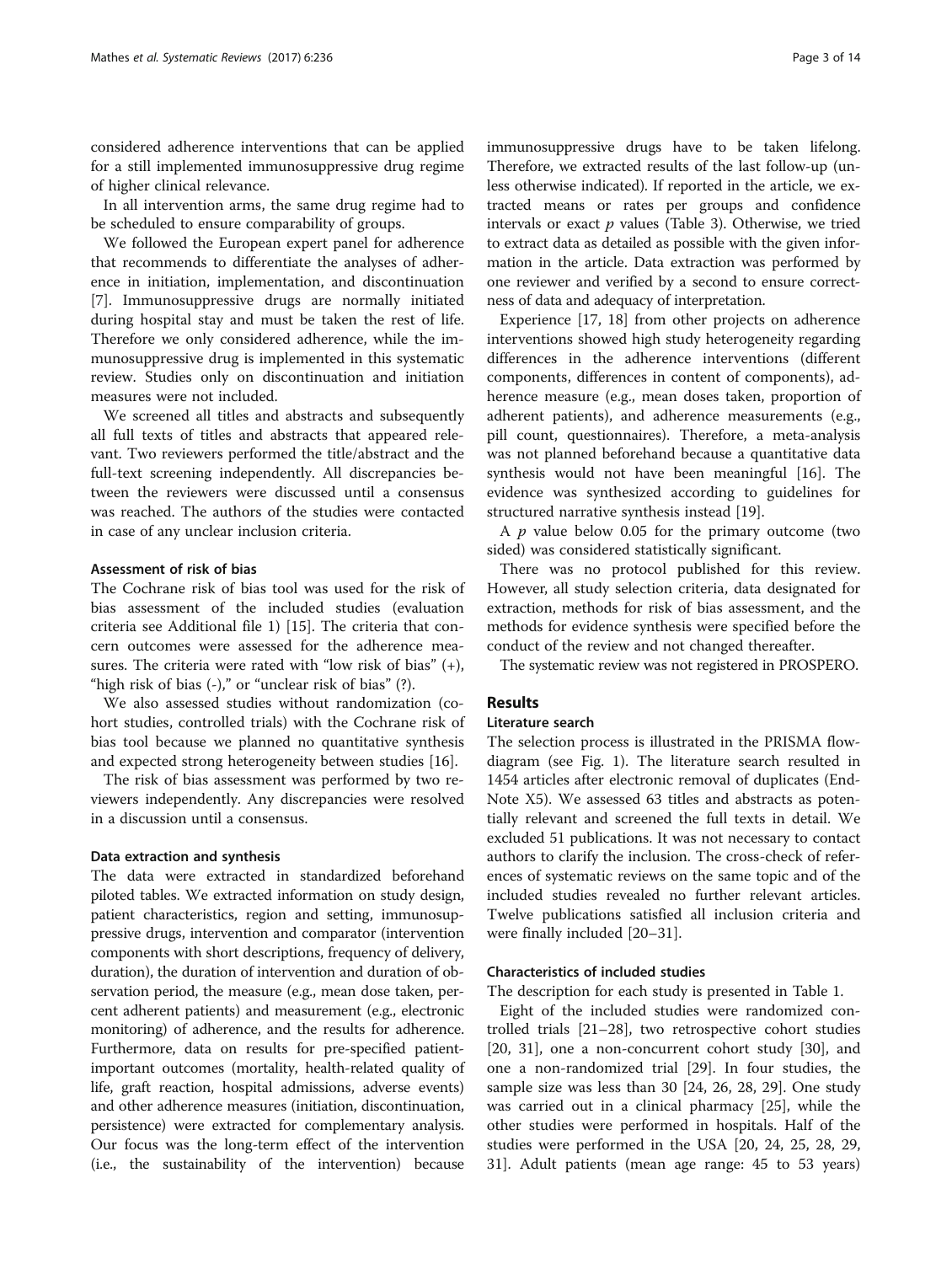considered adherence interventions that can be applied for a still implemented immunosuppressive drug regime of higher clinical relevance.

In all intervention arms, the same drug regime had to be scheduled to ensure comparability of groups.

We followed the European expert panel for adherence that recommends to differentiate the analyses of adherence in initiation, implementation, and discontinuation [[7\]](#page-13-0). Immunosuppressive drugs are normally initiated during hospital stay and must be taken the rest of life. Therefore we only considered adherence, while the immunosuppressive drug is implemented in this systematic review. Studies only on discontinuation and initiation measures were not included.

We screened all titles and abstracts and subsequently all full texts of titles and abstracts that appeared relevant. Two reviewers performed the title/abstract and the full-text screening independently. All discrepancies between the reviewers were discussed until a consensus was reached. The authors of the studies were contacted in case of any unclear inclusion criteria.

# Assessment of risk of bias

The Cochrane risk of bias tool was used for the risk of bias assessment of the included studies (evaluation criteria see Additional file [1](#page-12-0)) [\[15\]](#page-13-0). The criteria that concern outcomes were assessed for the adherence measures. The criteria were rated with "low risk of bias" (+), "high risk of bias (-)," or "unclear risk of bias" (?).

We also assessed studies without randomization (cohort studies, controlled trials) with the Cochrane risk of bias tool because we planned no quantitative synthesis and expected strong heterogeneity between studies [[16](#page-13-0)].

The risk of bias assessment was performed by two reviewers independently. Any discrepancies were resolved in a discussion until a consensus.

#### Data extraction and synthesis

The data were extracted in standardized beforehand piloted tables. We extracted information on study design, patient characteristics, region and setting, immunosuppressive drugs, intervention and comparator (intervention components with short descriptions, frequency of delivery, duration), the duration of intervention and duration of observation period, the measure (e.g., mean dose taken, percent adherent patients) and measurement (e.g., electronic monitoring) of adherence, and the results for adherence. Furthermore, data on results for pre-specified patientimportant outcomes (mortality, health-related quality of life, graft reaction, hospital admissions, adverse events) and other adherence measures (initiation, discontinuation, persistence) were extracted for complementary analysis. Our focus was the long-term effect of the intervention (i.e., the sustainability of the intervention) because immunosuppressive drugs have to be taken lifelong. Therefore, we extracted results of the last follow-up (unless otherwise indicated). If reported in the article, we extracted means or rates per groups and confidence intervals or exact  $p$  values (Table [3](#page-9-0)). Otherwise, we tried to extract data as detailed as possible with the given information in the article. Data extraction was performed by

ness of data and adequacy of interpretation. Experience [[17](#page-13-0), [18](#page-13-0)] from other projects on adherence interventions showed high study heterogeneity regarding differences in the adherence interventions (different components, differences in content of components), adherence measure (e.g., mean doses taken, proportion of adherent patients), and adherence measurements (e.g., pill count, questionnaires). Therefore, a meta-analysis was not planned beforehand because a quantitative data synthesis would not have been meaningful [[16](#page-13-0)]. The evidence was synthesized according to guidelines for structured narrative synthesis instead [[19](#page-13-0)].

one reviewer and verified by a second to ensure correct-

A  $p$  value below 0.05 for the primary outcome (two sided) was considered statistically significant.

There was no protocol published for this review. However, all study selection criteria, data designated for extraction, methods for risk of bias assessment, and the methods for evidence synthesis were specified before the conduct of the review and not changed thereafter.

The systematic review was not registered in PROSPERO.

#### **Results**

# Literature search

The selection process is illustrated in the PRISMA flowdiagram (see Fig. [1](#page-3-0)). The literature search resulted in 1454 articles after electronic removal of duplicates (End-Note X5). We assessed 63 titles and abstracts as potentially relevant and screened the full texts in detail. We excluded 51 publications. It was not necessary to contact authors to clarify the inclusion. The cross-check of references of systematic reviews on the same topic and of the included studies revealed no further relevant articles. Twelve publications satisfied all inclusion criteria and were finally included [[20](#page-13-0)–[31](#page-13-0)].

#### Characteristics of included studies

The description for each study is presented in Table [1.](#page-4-0)

Eight of the included studies were randomized controlled trials [[21](#page-13-0)–[28](#page-13-0)], two retrospective cohort studies [[20, 31](#page-13-0)], one a non-concurrent cohort study [[30\]](#page-13-0), and one a non-randomized trial [[29\]](#page-13-0). In four studies, the sample size was less than 30 [\[24](#page-13-0), [26, 28](#page-13-0), [29\]](#page-13-0). One study was carried out in a clinical pharmacy [\[25](#page-13-0)], while the other studies were performed in hospitals. Half of the studies were performed in the USA [[20](#page-13-0), [24](#page-13-0), [25](#page-13-0), [28](#page-13-0), [29](#page-13-0), [31\]](#page-13-0). Adult patients (mean age range: 45 to 53 years)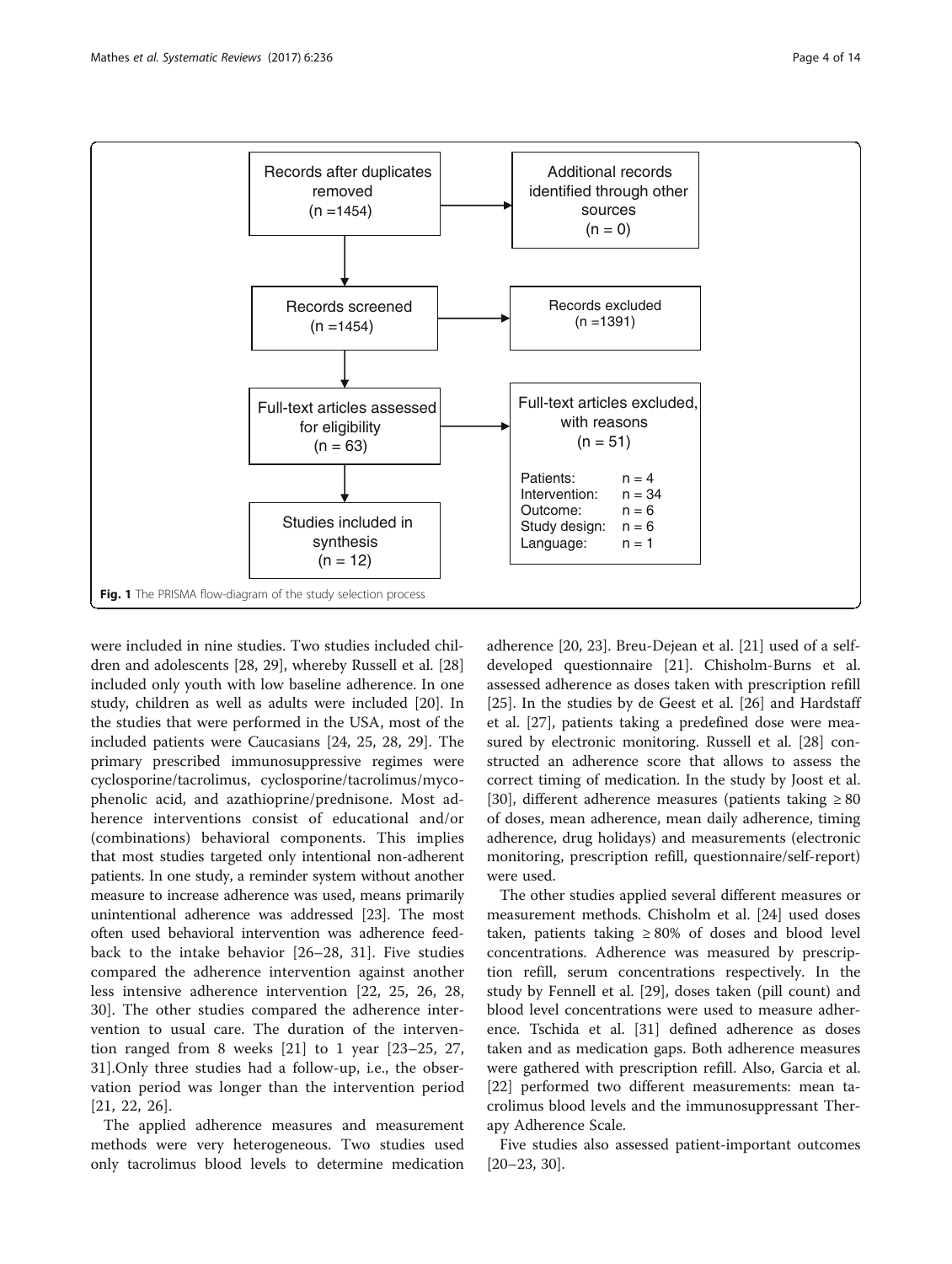<span id="page-3-0"></span>

were included in nine studies. Two studies included children and adolescents [[28](#page-13-0), [29](#page-13-0)], whereby Russell et al. [[28](#page-13-0)] included only youth with low baseline adherence. In one study, children as well as adults were included [[20](#page-13-0)]. In the studies that were performed in the USA, most of the included patients were Caucasians [\[24](#page-13-0), [25](#page-13-0), [28](#page-13-0), [29](#page-13-0)]. The primary prescribed immunosuppressive regimes were cyclosporine/tacrolimus, cyclosporine/tacrolimus/mycophenolic acid, and azathioprine/prednisone. Most adherence interventions consist of educational and/or (combinations) behavioral components. This implies that most studies targeted only intentional non-adherent patients. In one study, a reminder system without another measure to increase adherence was used, means primarily unintentional adherence was addressed [\[23](#page-13-0)]. The most often used behavioral intervention was adherence feedback to the intake behavior [\[26](#page-13-0)–[28](#page-13-0), [31\]](#page-13-0). Five studies compared the adherence intervention against another less intensive adherence intervention [\[22](#page-13-0), [25, 26, 28](#page-13-0), [30\]](#page-13-0). The other studies compared the adherence intervention to usual care. The duration of the intervention ranged from 8 weeks [[21\]](#page-13-0) to 1 year [\[23](#page-13-0)–[25](#page-13-0), [27](#page-13-0), [31\]](#page-13-0).Only three studies had a follow-up, i.e., the observation period was longer than the intervention period [[21, 22](#page-13-0), [26](#page-13-0)].

The applied adherence measures and measurement methods were very heterogeneous. Two studies used only tacrolimus blood levels to determine medication adherence [\[20](#page-13-0), [23](#page-13-0)]. Breu-Dejean et al. [\[21](#page-13-0)] used of a selfdeveloped questionnaire [[21](#page-13-0)]. Chisholm-Burns et al. assessed adherence as doses taken with prescription refill [[25\]](#page-13-0). In the studies by de Geest et al. [[26\]](#page-13-0) and Hardstaff et al. [\[27](#page-13-0)], patients taking a predefined dose were measured by electronic monitoring. Russell et al. [[28\]](#page-13-0) constructed an adherence score that allows to assess the correct timing of medication. In the study by Joost et al. [[30\]](#page-13-0), different adherence measures (patients taking  $\geq 80$ of doses, mean adherence, mean daily adherence, timing adherence, drug holidays) and measurements (electronic monitoring, prescription refill, questionnaire/self-report) were used.

The other studies applied several different measures or measurement methods. Chisholm et al. [[24](#page-13-0)] used doses taken, patients taking  $\geq 80\%$  of doses and blood level concentrations. Adherence was measured by prescription refill, serum concentrations respectively. In the study by Fennell et al. [\[29](#page-13-0)], doses taken (pill count) and blood level concentrations were used to measure adherence. Tschida et al. [\[31\]](#page-13-0) defined adherence as doses taken and as medication gaps. Both adherence measures were gathered with prescription refill. Also, Garcia et al. [[22\]](#page-13-0) performed two different measurements: mean tacrolimus blood levels and the immunosuppressant Therapy Adherence Scale.

Five studies also assessed patient-important outcomes [[20](#page-13-0)–[23](#page-13-0), [30](#page-13-0)].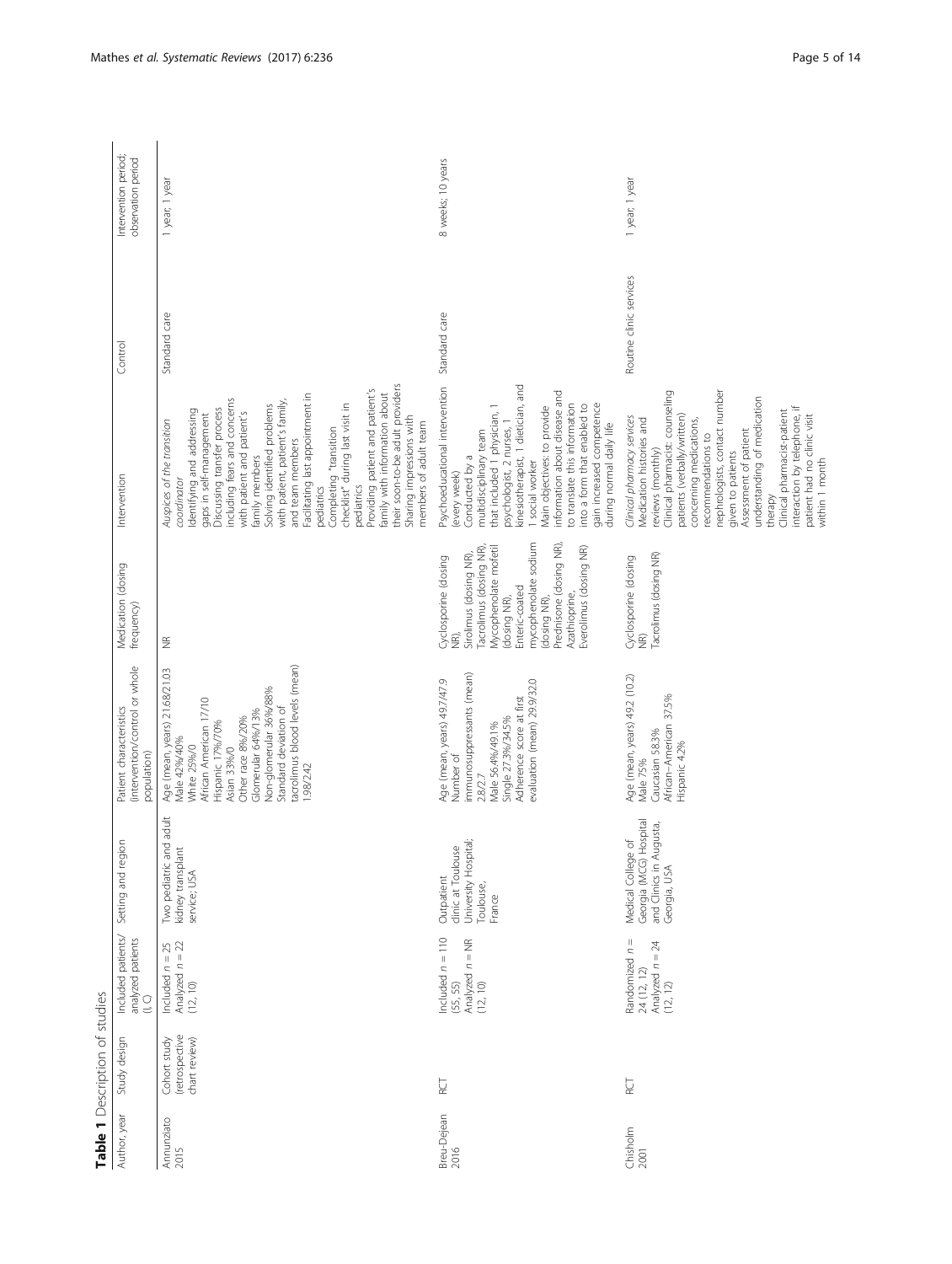<span id="page-4-0"></span>

|                     | Table 1 Description of studies                  |                                                                              |                                                                                                                |                                                                                                                                                                                                                                                                        |                                                                                                                                                                                                                                                         |                                                                                                                                                                                                                                                                                                                                                                                                                                                                                                                                                                                                   |                         |                                            |
|---------------------|-------------------------------------------------|------------------------------------------------------------------------------|----------------------------------------------------------------------------------------------------------------|------------------------------------------------------------------------------------------------------------------------------------------------------------------------------------------------------------------------------------------------------------------------|---------------------------------------------------------------------------------------------------------------------------------------------------------------------------------------------------------------------------------------------------------|---------------------------------------------------------------------------------------------------------------------------------------------------------------------------------------------------------------------------------------------------------------------------------------------------------------------------------------------------------------------------------------------------------------------------------------------------------------------------------------------------------------------------------------------------------------------------------------------------|-------------------------|--------------------------------------------|
| Author, year        | Study design                                    | Included patients/<br>analyzed patients<br>$\frac{0}{1}$                     | δ.<br>Setting and regi                                                                                         | (intervention/control or whole<br>Patient characteristics<br>population)                                                                                                                                                                                               | Medication (dosing<br>frequency)                                                                                                                                                                                                                        | Intervention                                                                                                                                                                                                                                                                                                                                                                                                                                                                                                                                                                                      | Control                 | Intervention period;<br>observation period |
| Annunziato<br>2015  | (retrospective<br>chart review)<br>Cohort study | Included $n = 25$<br>Analyzed $n = 22$<br>(12, 10)                           | Two pediatric and adult<br>kidney transplant<br>service; USA                                                   | tacrolimus blood levels (mean)<br>Age (mean, years) 21.68/21.03<br>Non-glomerular 36%/88%<br>African American 17/10<br>Standard deviation of<br>Glomerular 64%/13%<br>Other race 8%/20%<br>Hispanic 17%/70%<br>Male 42%/40%<br>White 25%/0<br>Asian 33%/0<br>1.98/2.42 | $\frac{\alpha}{2}$                                                                                                                                                                                                                                      | their soon-to-be adult providers<br>Providing patient and patient's<br>Facilitating last appointment in<br>family with information about<br>including fears and concerns<br>with patient, patient's family,<br>Solving identified problems<br>checklist" during last visit in<br>Discussing transfer process<br>Identifying and addressing<br>with patient and patient's<br>gaps in self-management<br>Sharing impressions with<br>Auspices of the transition<br>members of adult team<br>Completing "transition<br>and team members<br>family members<br>coordinator<br>pediatrics<br>pediatrics | Standard care           | 1 year; 1 year                             |
| Breu-Dejean<br>2016 | <b>RC</b>                                       | Included $n = 110$<br>Analyzed $n = NR$<br>(55, 55)<br>(12, 10)              | University Hospital;<br>clinic at Toulouse<br>Outpatient<br>Toulouse,<br>France                                | immunosuppressants (mean)<br>Age (mean, years) 49.7/47.9<br>evaluation (mean) 29.9/32.0<br>Adherence score at first<br>Single 27.3%/34.5%<br>Male 56.4%/49.1%<br>Number of<br>2.8/2.7                                                                                  | mycophenolate sodium<br>Prednisone (dosing NR),<br>Tacrolimus (dosing NR),<br>Mycophenolate mofetil<br>Everolimus (dosing NR)<br>Sirolimus (dosing NR),<br>Cyclosporine (dosing<br>Enteric-coated<br>Azathioprine,<br>(dosing NR),<br>(dosing NR),<br>ĝ | Psychoeducational intervention<br>kinesiotherapist, 1 dietician, and<br>information about disease and<br>to translate this information<br>gain increased competence<br>into a form that enabled to<br>that included 1 physician, 1<br>Main objectives: to provide<br>during normal daily life<br>psychologist, 2 nurses,<br>multidisciplinary team<br>Conducted by a<br>I social worker<br>(every week)                                                                                                                                                                                           | Standard care           | 8 weeks; 10 years                          |
| Chisholm<br>2001    | RCT                                             | $\, \parallel$<br>Analyzed n = 24<br>Randomized n<br>24 (12, 12)<br>(12, 12) | Hospital<br>and Clinics in Augusta,<br>$\overline{\sigma}$<br>Medical College<br>Georgia (MCG)<br>Georgia, USA | Age (mean, years) 49.2 (10.2)<br>African-American 37.5%<br>Caucasian 58.3%<br>Hispanic 4.2%<br>Male 75%                                                                                                                                                                | Tacrolimus (dosing NR)<br>Cyclosporine (dosing<br>$\frac{2}{2}$                                                                                                                                                                                         | Clinical pharmacist: counseling<br>nephrologists, contact number<br>understanding of medication<br>interaction by telephone, if<br>Clinical pharmacist-patient<br>patients (verbally/written)<br>patient had no clinic visit<br>Clinical pharmacy services<br>Medication histories and<br>concerning medications,<br>Assessment of patient<br>recommendations to<br>reviews (monthly)<br>given to patients<br>within 1 month<br>therapy                                                                                                                                                           | Routine clinic services | 1 year; 1 year                             |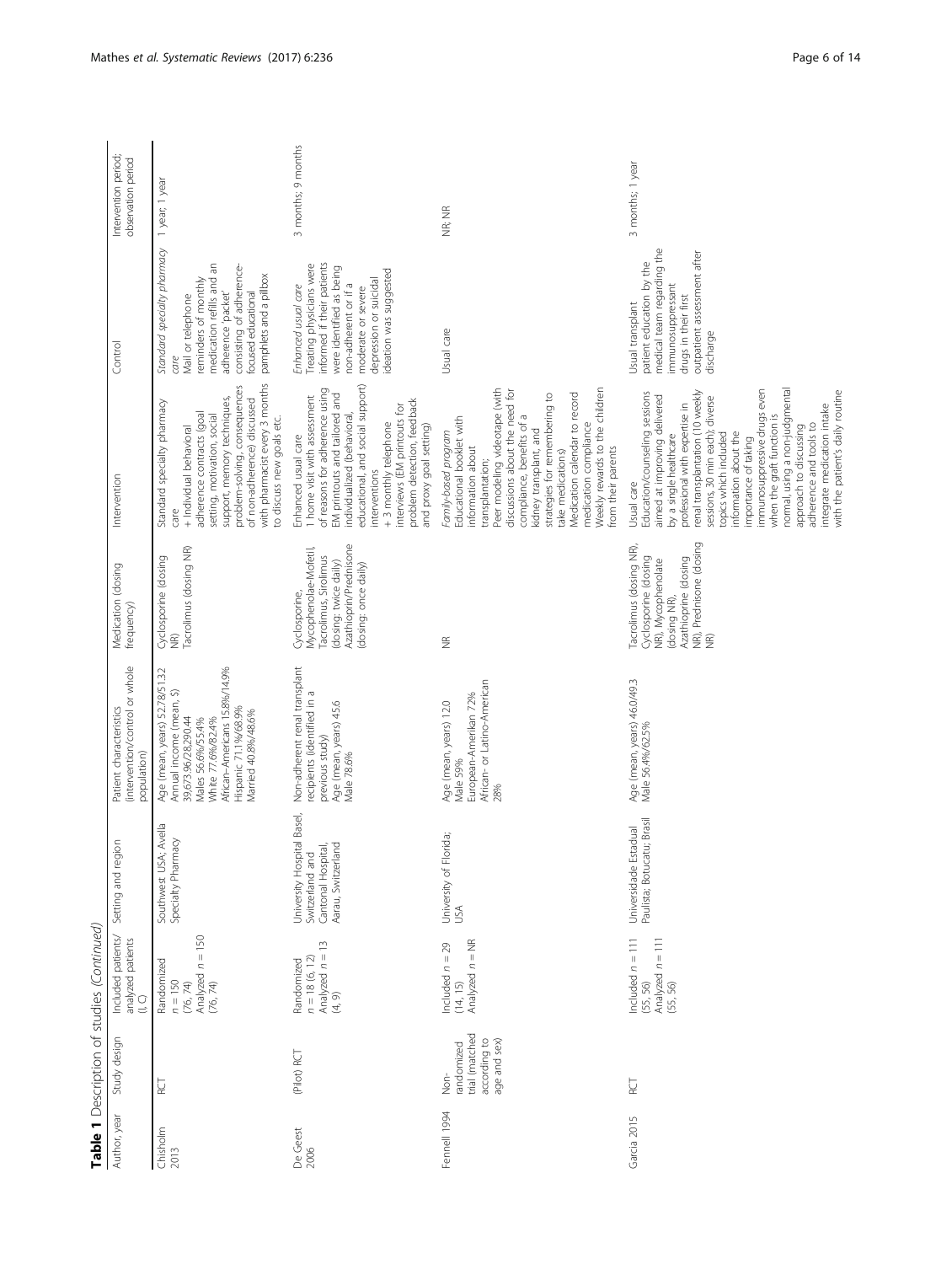|                  |                                                                      | Table 1 Description of studies (Continued)                            |                                                                                           |                                                                                                                                                                                                            |                                                                                                                                                         |                                                                                                                                                                                                                                                                                                                                                                                                                                                                                                                 |                                                                                                                                                                                                                   |                                            |
|------------------|----------------------------------------------------------------------|-----------------------------------------------------------------------|-------------------------------------------------------------------------------------------|------------------------------------------------------------------------------------------------------------------------------------------------------------------------------------------------------------|---------------------------------------------------------------------------------------------------------------------------------------------------------|-----------------------------------------------------------------------------------------------------------------------------------------------------------------------------------------------------------------------------------------------------------------------------------------------------------------------------------------------------------------------------------------------------------------------------------------------------------------------------------------------------------------|-------------------------------------------------------------------------------------------------------------------------------------------------------------------------------------------------------------------|--------------------------------------------|
| Author, year     | Study design                                                         | Included patients/<br>analyzed patients<br>$\bigcirc$                 | Setting and region                                                                        | (intervention/control or whole<br>Patient characteristics<br>population)                                                                                                                                   | Medication (dosing<br>frequency)                                                                                                                        | Intervention                                                                                                                                                                                                                                                                                                                                                                                                                                                                                                    | Control                                                                                                                                                                                                           | Intervention period;<br>observation period |
| Chisholm<br>2013 | RCT                                                                  | Analyzed $n = 150$<br>Randomized<br>$n = 150$<br>(76, 74)<br>(76, 74) | Southwest USA; Avella<br>Specialty Pharmacy                                               | African-Americans 15.8%/14.9%<br>Age (mean, years) 52.78/51.32<br>Annual income (mean, \$)<br>Hispanic 71.1%/68.9%<br>Married 40.8%/48.6%<br>39,673.96/28,290.44<br>White 77.6%/82.4%<br>Males 56.6%/55.4% | Tacrolimus (dosing NR)<br>Cyclosporine (dosing<br>$\frac{\widehat{\mathbf{r}}}{\mathbf{r}}$                                                             | with pharmacist every 3 months<br>problem-solving, consequences<br>support, memory techniques,<br>of non-adherence) discussed<br>Standard specialty pharmacy<br>adherence contracts (goal<br>setting, motivation, social<br>to discuss new goals etc.<br>+ Individual behavioral<br>care                                                                                                                                                                                                                        | Standard specialty pharmacy<br>medication refills and an<br>consisting of adherence-<br>pamphlets and a pillbox<br>reminders of monthly<br>adherence 'packet'<br>focused educational<br>Mail or telephone<br>care | 1 year; 1 year                             |
| De Geest<br>2006 | (Pilot) RCT                                                          | Analyzed $n = 13$<br>(4, 9)<br>$n = 18(6, 12)$<br>Randomized          | University Hospital Basel,<br>Aarau, Switzerland<br>Cantonal Hospital,<br>Switzerland and | Non-adherent renal transplant<br>recipients (identified in a<br>Age (mean, years) 45.6<br>previous study)<br>Male 78.6%                                                                                    | Azathioprin/Prednisone<br>Mycophenolae-Mofetil,<br>Tacrolimus, Sirolimus<br>(dosing: twice daily)<br>(dosing: once daily)<br>Cyclosporine,              | educational, and social support)<br>of reasons for adherence using<br>EM printouts and tailored and<br>1 home visit with assessment<br>problem detection, feedback<br>interviews (EM printouts for<br>individualized (behavioral,<br>+3 monthly telephone<br>and proxy goal setting)<br>Enhanced usual care<br>interventions                                                                                                                                                                                    | informed if their patients<br>Treating physicians were<br>were identified as being<br>ideation was suggested<br>depression or suicidal<br>non-adherent or if a<br>Enhanced usual care<br>moderate or severe       | 3 months; 9 months                         |
| Fennell 1994     | trial (matched<br>according to<br>age and sex)<br>randomized<br>Non- | Analyzed $n = NR$<br>Included $n = 29$<br>(14, 15)                    | University of Florida;<br>υsΑ                                                             | African- or Latino-American<br>European-Amerikan 72%<br>Age (mean, years) 12.0<br>Male 59%<br>28%                                                                                                          | $\widetilde{\Xi}$                                                                                                                                       | Peer modeling videotape (with<br>Weekly rewards to the children<br>discussions about the need for<br>Medication calendar to record<br>strategies for remembering to<br>compliance, benefits of a<br>Educational booklet with<br>medication compliance<br>kidney transplant, and<br>Family-based program<br>information about<br>from their parents<br>take medications)<br>transplantation;                                                                                                                     | Usual care                                                                                                                                                                                                        | NR; NR                                     |
| Garcia 2015      | RCT                                                                  | Included $n = 111$<br>Analyzed $n = 111$<br>(55, 56)<br>(55, 56)      | itu; Brasil<br>Universidade Estadual<br>Paulista; Botuca                                  | Age (mean, years) 46.0/49.3<br>Male 56.4%/62.5%                                                                                                                                                            | NR), Prednisone (dosing<br>acrolimus (dosing NR)<br>Cyclosporine (dosing<br>Azathioprine (dosing<br>NR), Mycophenolate<br>(dosing NR),<br>$\frac{1}{2}$ | immunosuppressive drugs even<br>normal, using a non-judgmental<br>with the patient's daily routine<br>Education/counseling sessions<br>renal transplantation (10 weekly<br>aimed at improving delivered<br>sessions, 30 min each); diverse<br>professional with expertise in<br>integrate medication intake<br>when the graft function is<br>adherence and tools to<br>approach to discussing<br>topics which included<br>information about the<br>by a single healthcare<br>importance of taking<br>Usual care | medical team regarding the<br>outpatient assessment after<br>patient education by the<br>immunosuppressant<br>drugs in their first<br>Usual transplant<br>discharge                                               | 3 months; 1 year                           |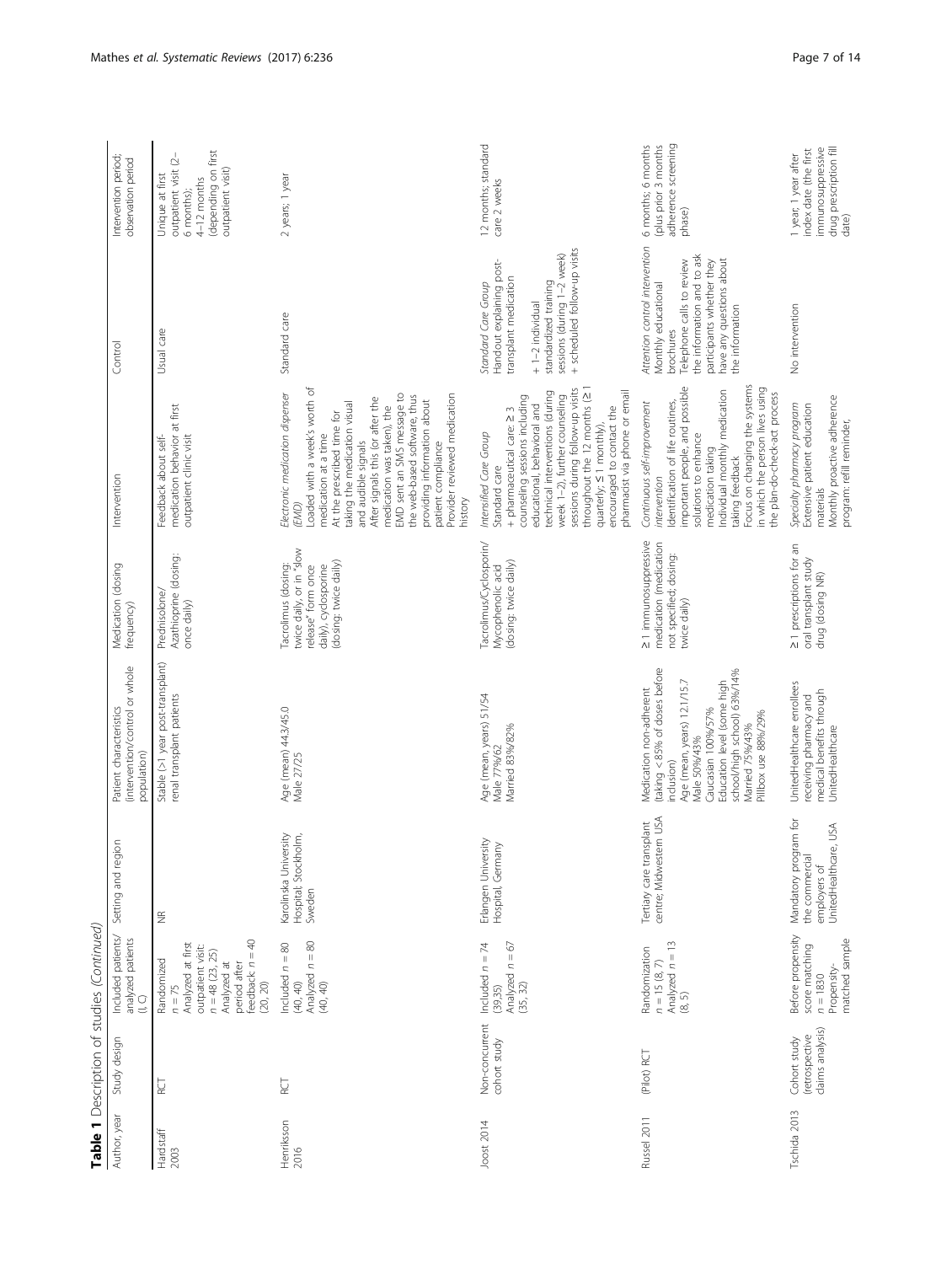| 32                 | $\blacksquare$ . Description on $\blacksquare$     | VA3hrun in calcana c                                                                                                                                  |                                                                                       |                                                                                                                                                                                                                                                  |                                                                                                                        |                                                                                                                                                                                                                                                                                                                                                                                                                        |                                                                                                                                                                                                           |                                                                                                                  |
|--------------------|----------------------------------------------------|-------------------------------------------------------------------------------------------------------------------------------------------------------|---------------------------------------------------------------------------------------|--------------------------------------------------------------------------------------------------------------------------------------------------------------------------------------------------------------------------------------------------|------------------------------------------------------------------------------------------------------------------------|------------------------------------------------------------------------------------------------------------------------------------------------------------------------------------------------------------------------------------------------------------------------------------------------------------------------------------------------------------------------------------------------------------------------|-----------------------------------------------------------------------------------------------------------------------------------------------------------------------------------------------------------|------------------------------------------------------------------------------------------------------------------|
| Author, year       | Study design                                       | Included patients/<br>analyzed patients<br>$\overline{0}$                                                                                             | Setting and region                                                                    | (intervention/control or whole<br>Patient characteristics<br>population)                                                                                                                                                                         | Medication (dosing<br>frequency)                                                                                       | Intervention                                                                                                                                                                                                                                                                                                                                                                                                           | Control                                                                                                                                                                                                   | Intervention period;<br>observation period                                                                       |
| Hardstaff<br>2003  | ă                                                  | feedback: $n = 40$<br>Analyzed at first<br>outpatient visit:<br>$n = 48(23, 25)$<br>Randomized<br>Analyzed at<br>period after<br>(20, 20)<br>$n = 75$ | ž                                                                                     | Stable (>1 year post-transplant)<br>renal transplant patients                                                                                                                                                                                    | Azathioprine (dosing:<br>Prednisolone/<br>once daily)                                                                  | medication behavior at first<br>Feedback about self-<br>outpatient clinic visit                                                                                                                                                                                                                                                                                                                                        | Usual care                                                                                                                                                                                                | (depending on first<br>outpatient visit (2-<br>outpatient visit)<br>Unique at first<br>4-12 months<br>6 months); |
| Henriksson<br>2016 | РÓ                                                 | Analyzed n = 80<br>8<br>$n$ cluded $n =$<br>(40, 40)<br>(40, 40)                                                                                      | Karolinska University<br>Hospital; Stockholm,<br>Sweden                               | Age (mean) 44.3/45.0<br>Male 27/25                                                                                                                                                                                                               | twice daily, or in "slow<br>(dosing: twice daily)<br>Tacrolimus (dosing:<br>release" form once<br>daily), cyclosporine | Loaded with a week's worth of<br>Electronic medication dispenser<br>EMD sent an SMS message to<br>the web-based software, thus<br>Provider reviewed medication<br>After signals this (or after the<br>providing information about<br>taking the medication visual<br>medication was taken), the<br>At the prescribed time for<br>medication at a time<br>and audible signals<br>patient compliance<br>history<br>(EMD) | Standard care                                                                                                                                                                                             | 2 years; 1 year                                                                                                  |
| Joost 2014         | Non-concurrent<br>cohort study                     | Analyzed n = 67<br>(35, 32)<br>$= 74$<br>Included n<br>(39,35)                                                                                        | Erlangen University<br>Hospital, Germany                                              | Age (mean, years) 51/54<br>Married 83%/82%<br>Male 77%/62                                                                                                                                                                                        | Tacrolimus/Cyclosporin/<br>(dosing: twice daily)<br>Mycophenolic acid                                                  | sessions during follow-up visits<br>technical interventions (during<br>pharmacist via phone or email<br>throughout the 12 months (2<br>week 1-2), further counseling<br>counseling sessions including<br>educational, behavioral and<br>encouraged to contact the<br>+ pharmaceutical care: 23<br>quarterly; <1 monthly),<br>Intensified Care Group<br>Standard care                                                   | + scheduled follow-up visits<br>sessions (during 1-2 week)<br>Handout explaining post-<br>transplant medication<br>standardized training<br>Standard Care Group<br>$+ 1-2$ individual                     | 12 months; standard<br>care 2 weeks                                                                              |
| Russel 2011        | (Pilot) RCT                                        | Analyzed n = 13<br>Randomization<br>$n = 15 (8, 7)$<br>(8, 5)                                                                                         | centre; Midwestern USA<br>Tertiary care transplant                                    | (taking <85% of doses before<br>school/high school) 63%/14%<br>Education level (some high<br>Age (mean, years) 12.1/15.7<br>Medication non-adherent<br>Caucasian 100%/57%<br>Pillbox use 88%/29%<br>Married 75%/43%<br>Male 50%/43%<br>nclusion) | 21 immunosuppressive<br>medication (medication<br>not specified; dosing:<br>twice daily)                               | Focus on changing the systems<br>important people, and possible<br>in which the person lives using<br>Individual monthly medication<br>the plan-do-check-act process<br>Identification of life routines,<br>Continuous self-improvement<br>solutions to enhance<br>medication taking<br>taking feedback<br>intervention                                                                                                | Attention control intervention<br>the information and to ask<br>have any questions about<br>participants whether they<br>Telephone calls to review<br>Monthly educational<br>the information<br>brochures | adherence screening<br>6 months; 6 months<br>(plus prior 3 months<br>phase)                                      |
| Tschida 2013       | claims analysis)<br>(retrospective<br>Cohort study | Before propensity<br>matched sample<br>score matching<br>Propensity-<br>$n = 1830$                                                                    | ram for<br>UnitedHealthcare, USA<br>Mandatory progr<br>the commercial<br>employers of | UnitedHealthcare enrollees<br>receiving pharmacy and<br>medical benefits through<br>UnitedHealthcare                                                                                                                                             | 21 prescriptions for an<br>oral transplant study<br>drug (dosing NR)                                                   | Monthly proactive adherence<br>Specialty pharmacy program<br>Extensive patient education<br>program: refill reminder,<br>materials                                                                                                                                                                                                                                                                                     | No intervention                                                                                                                                                                                           | immunosuppressive<br>drug prescription fill<br>date)<br>index date (the first<br>1 year; 1 year after            |

# Table 1 Description of studies (Continued) **Table 1** Description of studies (Continued)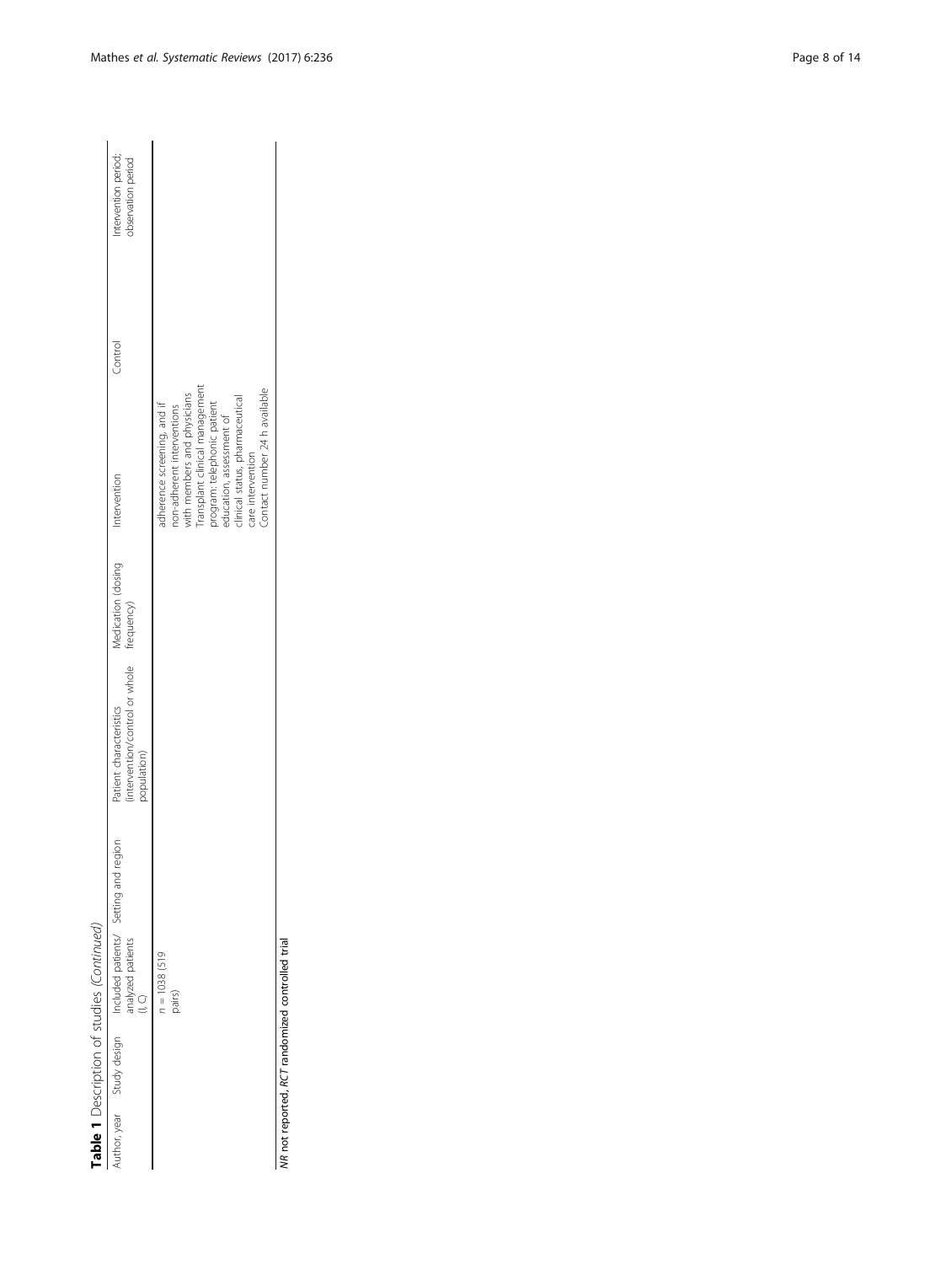|  | Table 1 Description of studies (Continued)                                                       |                                                                                     |                    |                                                                                                                                                                                                                                                                                |         |                                            |
|--|--------------------------------------------------------------------------------------------------|-------------------------------------------------------------------------------------|--------------------|--------------------------------------------------------------------------------------------------------------------------------------------------------------------------------------------------------------------------------------------------------------------------------|---------|--------------------------------------------|
|  | Author, year Study design Included patients/ Setting and region<br>analyzed patients<br>$(1, C)$ | (intervention/control or whole frequency)<br>Patient characteristics<br>population) | Medication (dosing | Intervention                                                                                                                                                                                                                                                                   | Control | Intervention period;<br>observation period |
|  | $n = 1038(519)$<br>pairs)                                                                        |                                                                                     |                    | Transplant clinical management<br>Contact number 24 h available<br>with members and physicians<br>clinical status, pharmaceutical<br>program: telephonic patient<br>adherence screening, and if<br>non-adherent interventions<br>education, assessment of<br>care intervention |         |                                            |
|  | WR not reported, RCT randomized controlled trial                                                 |                                                                                     |                    |                                                                                                                                                                                                                                                                                |         |                                            |

NR not reported, RCT randomized controlled trial ទូ RCT ted,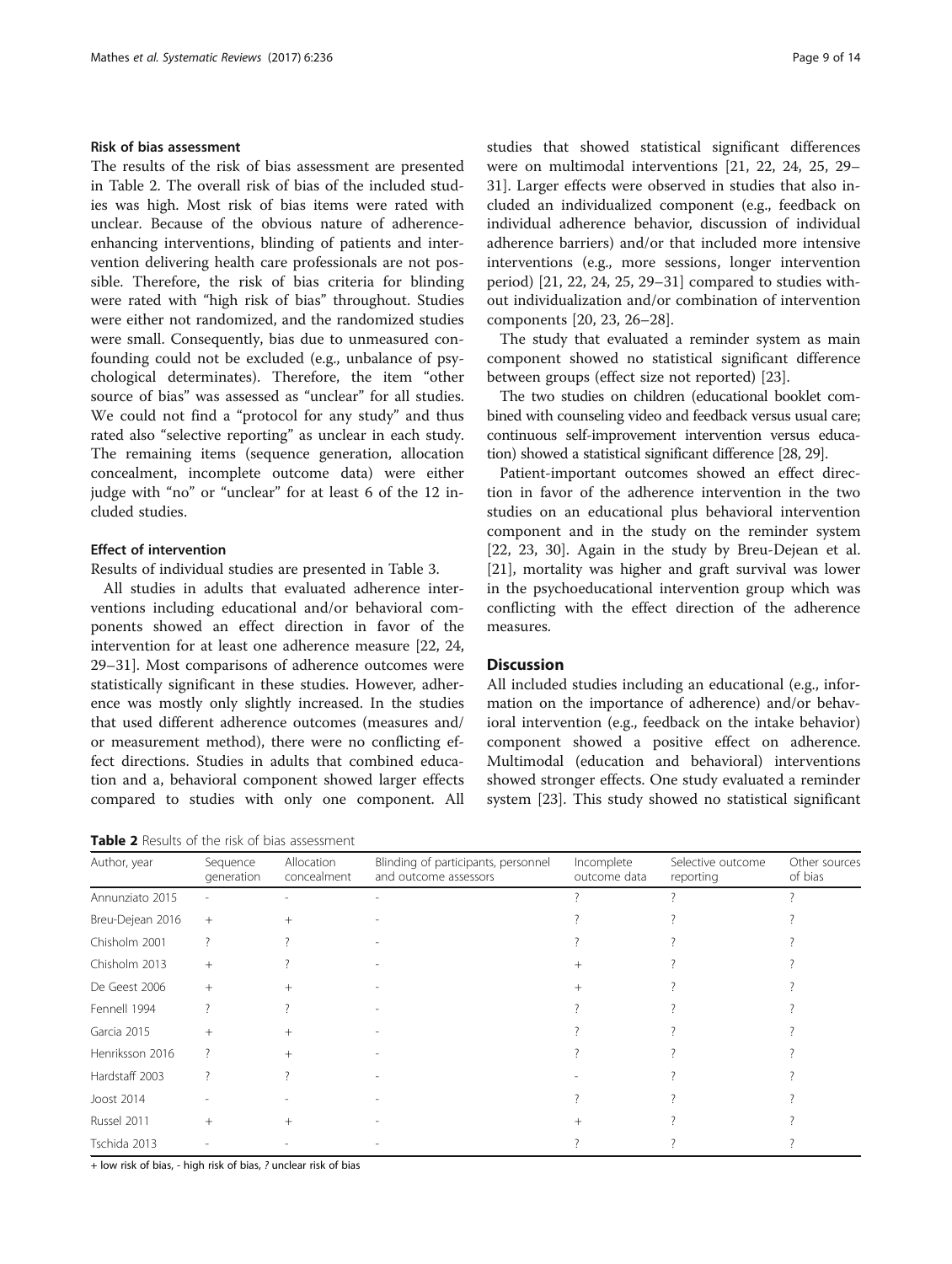# Risk of bias assessment

The results of the risk of bias assessment are presented in Table 2. The overall risk of bias of the included studies was high. Most risk of bias items were rated with unclear. Because of the obvious nature of adherenceenhancing interventions, blinding of patients and intervention delivering health care professionals are not possible. Therefore, the risk of bias criteria for blinding were rated with "high risk of bias" throughout. Studies were either not randomized, and the randomized studies were small. Consequently, bias due to unmeasured confounding could not be excluded (e.g., unbalance of psychological determinates). Therefore, the item "other source of bias" was assessed as "unclear" for all studies. We could not find a "protocol for any study" and thus rated also "selective reporting" as unclear in each study. The remaining items (sequence generation, allocation concealment, incomplete outcome data) were either judge with "no" or "unclear" for at least 6 of the 12 included studies.

# Effect of intervention

Results of individual studies are presented in Table [3.](#page-9-0)

All studies in adults that evaluated adherence interventions including educational and/or behavioral components showed an effect direction in favor of the intervention for at least one adherence measure [\[22, 24](#page-13-0), [29](#page-13-0)–[31](#page-13-0)]. Most comparisons of adherence outcomes were statistically significant in these studies. However, adherence was mostly only slightly increased. In the studies that used different adherence outcomes (measures and/ or measurement method), there were no conflicting effect directions. Studies in adults that combined education and a, behavioral component showed larger effects compared to studies with only one component. All

| <b>Table 2</b> Results of the risk of bias assessment |  |  |  |  |  |  |
|-------------------------------------------------------|--|--|--|--|--|--|
|-------------------------------------------------------|--|--|--|--|--|--|

studies that showed statistical significant differences were on multimodal interventions [[21, 22](#page-13-0), [24, 25](#page-13-0), [29](#page-13-0)– [31\]](#page-13-0). Larger effects were observed in studies that also included an individualized component (e.g., feedback on individual adherence behavior, discussion of individual adherence barriers) and/or that included more intensive interventions (e.g., more sessions, longer intervention period) [\[21, 22, 24, 25, 29](#page-13-0)–[31](#page-13-0)] compared to studies without individualization and/or combination of intervention components [\[20, 23, 26](#page-13-0)–[28\]](#page-13-0).

The study that evaluated a reminder system as main component showed no statistical significant difference between groups (effect size not reported) [\[23](#page-13-0)].

The two studies on children (educational booklet combined with counseling video and feedback versus usual care; continuous self-improvement intervention versus education) showed a statistical significant difference [[28](#page-13-0), [29](#page-13-0)].

Patient-important outcomes showed an effect direction in favor of the adherence intervention in the two studies on an educational plus behavioral intervention component and in the study on the reminder system [[22, 23](#page-13-0), [30](#page-13-0)]. Again in the study by Breu-Dejean et al. [[21\]](#page-13-0), mortality was higher and graft survival was lower in the psychoeducational intervention group which was conflicting with the effect direction of the adherence measures.

# **Discussion**

All included studies including an educational (e.g., information on the importance of adherence) and/or behavioral intervention (e.g., feedback on the intake behavior) component showed a positive effect on adherence. Multimodal (education and behavioral) interventions showed stronger effects. One study evaluated a reminder system [\[23](#page-13-0)]. This study showed no statistical significant

| Author, year     | Sequence<br>generation   | Allocation<br>concealment | Blinding of participants, personnel<br>and outcome assessors | Incomplete<br>outcome data | Selective outcome<br>reporting | Other sources<br>of bias |
|------------------|--------------------------|---------------------------|--------------------------------------------------------------|----------------------------|--------------------------------|--------------------------|
| Annunziato 2015  | $\overline{a}$           |                           |                                                              |                            |                                |                          |
| Breu-Dejean 2016 | $+$                      | $^{+}$                    |                                                              |                            |                                |                          |
| Chisholm 2001    | $\overline{\phantom{a}}$ |                           |                                                              |                            |                                |                          |
| Chisholm 2013    | $^{+}$                   |                           |                                                              |                            |                                |                          |
| De Geest 2006    | $^{+}$                   |                           |                                                              |                            |                                |                          |
| Fennell 1994     |                          |                           |                                                              |                            |                                |                          |
| Garcia 2015      |                          | $^{+}$                    |                                                              |                            |                                |                          |
| Henriksson 2016  | 2                        | $^{+}$                    |                                                              |                            |                                |                          |
| Hardstaff 2003   | $\overline{\phantom{a}}$ |                           |                                                              |                            |                                |                          |
| Joost 2014       |                          |                           |                                                              |                            |                                |                          |
| Russel 2011      |                          |                           |                                                              | $^+$                       |                                |                          |
| Tschida 2013     |                          |                           |                                                              |                            |                                |                          |

+ low risk of bias, - high risk of bias, ? unclear risk of bias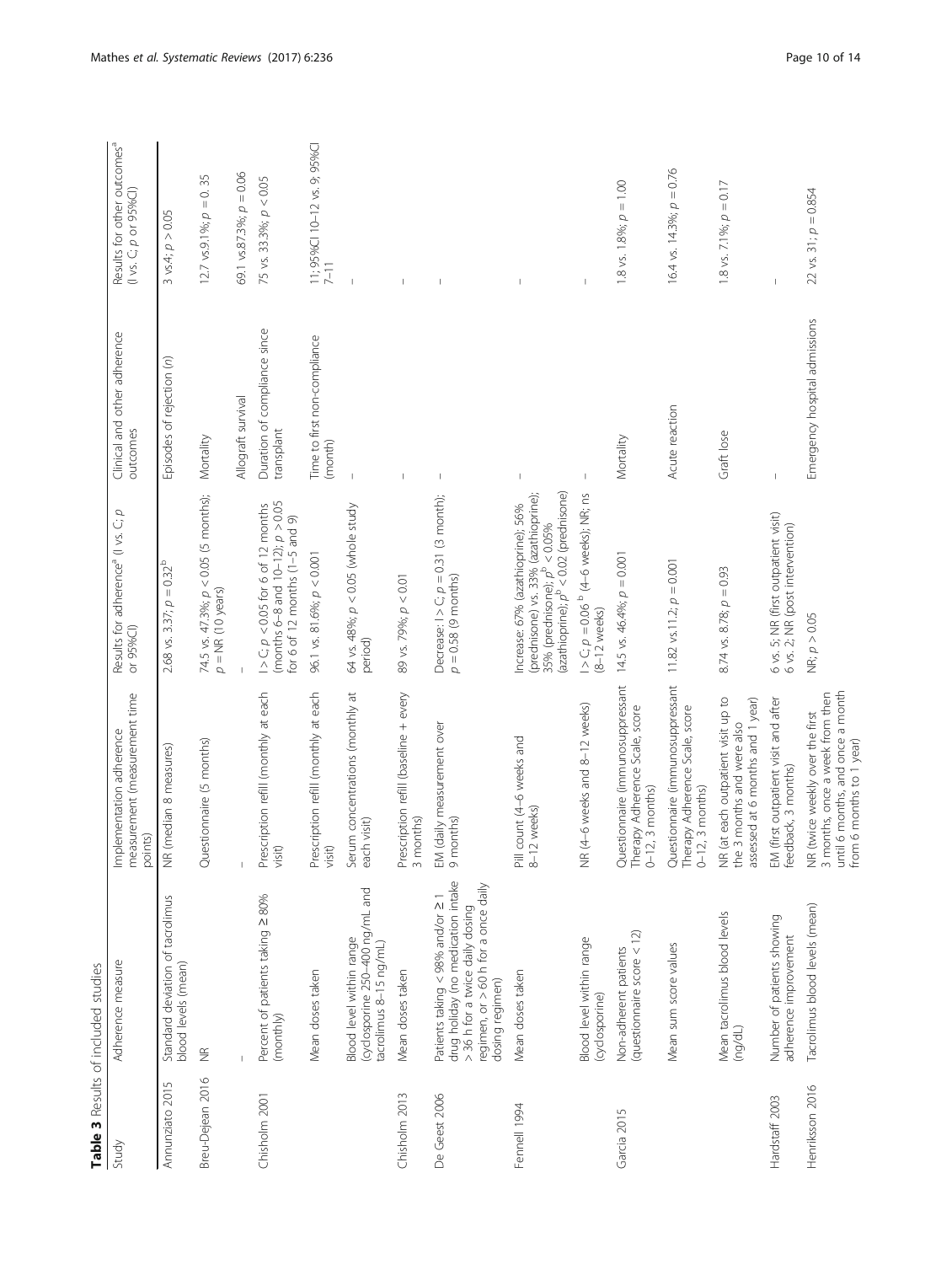<span id="page-9-0"></span>

|                  | Table 3 Results of included studies                                                                                                                                 |                                                                                                                                    |                                                                                                                                                                    |                                            |                                                                                       |
|------------------|---------------------------------------------------------------------------------------------------------------------------------------------------------------------|------------------------------------------------------------------------------------------------------------------------------------|--------------------------------------------------------------------------------------------------------------------------------------------------------------------|--------------------------------------------|---------------------------------------------------------------------------------------|
| Study            | Adherence measure                                                                                                                                                   | Implementation adherence<br>measurement (measurement time<br>points)                                                               | $\sigma$<br>Results for adherence <sup>ª</sup> (I vs. C;<br>or 95%Cl)                                                                                              | Clinical and other adherence<br>outcomes   | Results for other outcomes <sup>a</sup><br>$(1 \vee S, C; p \circ r \circ S \circ C)$ |
| Annunziato 2015  | Standard deviation of tacrolimus<br>blood levels (mean)                                                                                                             | NR (median 8 measures)                                                                                                             | $2.68$ vs. 3.37; $p = 0.32^b$                                                                                                                                      | Episodes of rejection (n)                  | $3 \text{ vs. } 4; p > 0.05$                                                          |
| Breu-Dejean 2016 | $\widetilde{\Xi}$                                                                                                                                                   | Questionnaire (5 months)                                                                                                           | 74.5 vs. 47.3%; $p < 0.05$ (5 months);<br>$p = NR$ (10 years)                                                                                                      | Mortality                                  | 12.7 vs.9.1%; $p = 0.35$                                                              |
|                  |                                                                                                                                                                     | $\overline{1}$                                                                                                                     |                                                                                                                                                                    | Allograft survival                         | 69.1 vs.87.3%; $p = 0.06$                                                             |
| Chisholm 2001    | Percent of patients taking ≥ 80%<br>(monthly)                                                                                                                       | Prescription refill (monthly at each<br>visit)                                                                                     | (months 6-8 and 10-12); $p > 0.05$<br>$1 > C$ ; $p < 0.05$ for 6 of 12 months<br>for 6 of 12 months (1-5 and 9)                                                    | Duration of compliance since<br>transplant | 75 vs. 33.3%; $p < 0.05$                                                              |
|                  | Mean doses taken                                                                                                                                                    | Prescription refill (monthly at each<br>visit)                                                                                     | $96.1$ vs. 81.6%; $p < 0.001$                                                                                                                                      | Time to first non-compliance<br>(month)    | 11; 95%Cl 10-12 vs. 9; 95%Cl<br>$7 - 11$                                              |
|                  | (cyclosporine 250-400 ng/mL and<br>Blood level within range<br>tacrolimus 8-15 ng/mL)                                                                               | Serum concentrations (monthly at<br>each visit)                                                                                    | 64 vs. 48%; p < 0.05 (whole study<br>period)                                                                                                                       |                                            | $\overline{1}$                                                                        |
| Chisholm 2013    | Mean doses taken                                                                                                                                                    | Prescription refill (baseline + every<br>3 months)                                                                                 | 89 vs. 79%; $p < 0.01$                                                                                                                                             |                                            |                                                                                       |
| De Geest 2006    | drug holiday (no medication intake<br>regimen, or > 60 h for a once daily<br>Patients taking < 98% and/or ≥ 1<br>> 36 h for a twice daily dosing<br>dosing regimen) | EM (daily measurement over<br>9 months)                                                                                            | Decrease: $1 > C$ ; $p = 0.31$ (3 month);<br>$p = 0.58$ (9 months)                                                                                                 | I                                          |                                                                                       |
| Fennell 1994     | Mean doses taken                                                                                                                                                    | Pill count (4–6 weeks and<br>8–12 weeks)                                                                                           | (azathioprine); $p^b < 0.02$ (prednisone)<br>(prednisone) vs. 33% (azathioprine);<br>35% (prednisone); p <sup>b</sup> < 0.05%<br>Increase: 67% (azathioprine); 56% | $\overline{\phantom{a}}$                   |                                                                                       |
|                  | Blood level within range<br>(cyclosporine)                                                                                                                          | NR (4-6 weeks and 8-12 weeks)                                                                                                      | $1 > C$ ; $p = 0.06$ $\frac{b}{4-6}$ weeks); NR; ns<br>(8-12 weeks)                                                                                                | $\mathbf{I}$                               |                                                                                       |
| Garcia 2015      | (questionnaire score $<$ 12)<br>Non-adherent patients                                                                                                               | Questionnaire (immunosuppressant<br>Therapy Adherence Scale, score<br>$0-12$ , 3 months)                                           | 14.5 vs. 46.4%; $p = 0.001$                                                                                                                                        | Mortality                                  | 1.8 vs. 1.8%; $p = 1.00$                                                              |
|                  | Mean sum score values                                                                                                                                               | Questionnaire (immunosuppressant<br>Therapy Adherence Scale, score<br>$0-12$ , 3 months)                                           | 11.82 vs.11.2; $p = 0.001$                                                                                                                                         | Acute reaction                             | 16.4 vs. 14.3%; $p = 0.76$                                                            |
|                  | Mean tacrolimus blood levels<br>(hg/dL)                                                                                                                             | NR (at each outpatient visit up to<br>assessed at 6 months and 1 year)<br>the 3 months and were also                               | $8.74$ vs. $8.78$ ; $p = 0.93$                                                                                                                                     | Graft lose                                 | 1.8 vs. 7.1%; $p = 0.17$                                                              |
| Hardstaff 2003   | Number of patients showing<br>adherence improvement                                                                                                                 | EM (first outpatient visit and after<br>feedback, 3 months)                                                                        | 6 vs. 5; NR (first outpatient visit)<br>6 vs. 2; NR (post intervention)                                                                                            |                                            |                                                                                       |
| Henriksson 2016  | Tacrolimus blood levels (mean)                                                                                                                                      | until 6 months, and once a month<br>from 6 months to 1 year)<br>NR (twice weekly over the first<br>3 months, once a week from then | NR; p > 0.05                                                                                                                                                       | Emergency hospital admissions              | 22 vs. 31; $p = 0.854$                                                                |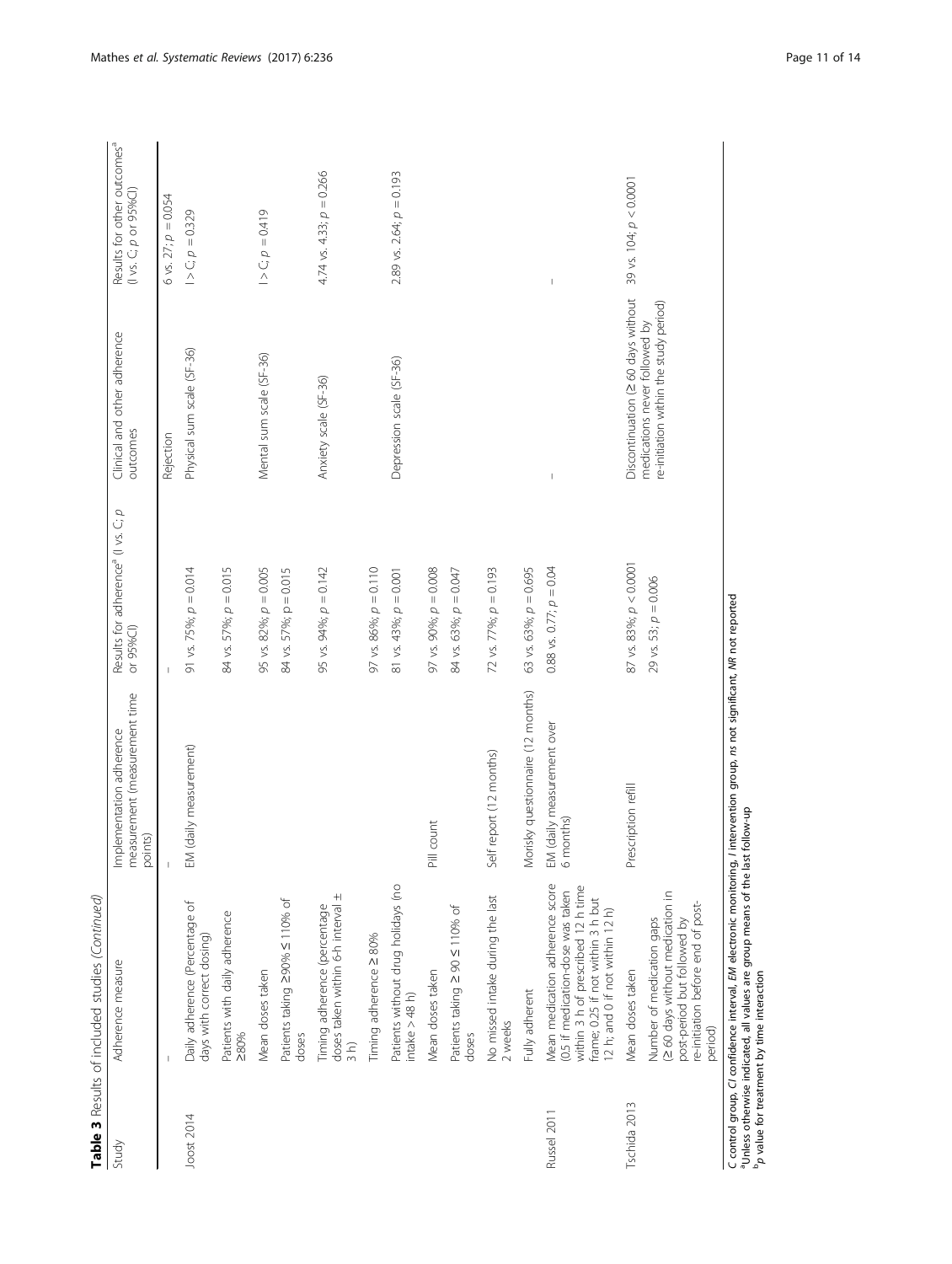|                         | Table 3 Results of included studies (Continued)                                                                                                                                                                                   |                                                                               |                                                                       |                                                                        |                                                                           |
|-------------------------|-----------------------------------------------------------------------------------------------------------------------------------------------------------------------------------------------------------------------------------|-------------------------------------------------------------------------------|-----------------------------------------------------------------------|------------------------------------------------------------------------|---------------------------------------------------------------------------|
| Study                   | Adherence measure                                                                                                                                                                                                                 | measurement (measurement time<br>Implementation adherence<br>points)          | $\sigma$<br>Results for adherence <sup>a</sup> (I vs. C;<br>or 95%Cl) | Clinical and other adherence<br>outcomes                               | Results for other outcomes <sup>a</sup><br>$(1 \vee S$ . C; $p$ or 95%CI) |
|                         |                                                                                                                                                                                                                                   | $\overline{1}$                                                                |                                                                       | Rejection                                                              | 6 vs. 27; $p = 0.054$                                                     |
| Joost 2014              | Daily adherence (Percentage of<br>days with correct dosing;                                                                                                                                                                       | (daily measurement)<br>ΞM                                                     | 91 vs. 75%; $p = 0.014$                                               | Physical sum scale (SF-36)                                             | $1 > C$ ; $p = 0.329$                                                     |
|                         | Patients with daily adherence<br>> 80%                                                                                                                                                                                            |                                                                               | 84 vs. $57\%$ ; $p = 0.015$                                           |                                                                        |                                                                           |
|                         | Mean doses taken                                                                                                                                                                                                                  |                                                                               | 95 vs. $82\%$ ; $p = 0.005$                                           | Mental sum scale (SF-36)                                               | $1 > C$ ; $p = 0.419$                                                     |
|                         | Patients taking 290% < 110% of<br>doses                                                                                                                                                                                           |                                                                               | 84 vs. 57%; p = 0.015                                                 |                                                                        |                                                                           |
|                         | doses taken within 6-h interval ±<br>Timing adherence (percentage<br>$\frac{3}{2}$ h)                                                                                                                                             |                                                                               | 95 vs. 94%; $p = 0.142$                                               | Anxiety scale (SF-36)                                                  | 4.74 vs. 4.33; $p = 0.266$                                                |
|                         | Timing adherence ≥ 80%                                                                                                                                                                                                            |                                                                               | 97 vs. 86%; $p = 0.110$                                               |                                                                        |                                                                           |
|                         | Patients without drug holidays (no<br>intake $>48$ h)                                                                                                                                                                             |                                                                               | 81 vs. 43%; $p = 0.001$                                               | Depression scale (SF-36)                                               | 2.89 vs. 2.64; $p = 0.193$                                                |
|                         | Mean doses taken                                                                                                                                                                                                                  | count<br>$\overline{=}$                                                       | 97 vs. 90%; $p = 0.008$                                               |                                                                        |                                                                           |
|                         | Patients taking 2 90 5 110% of<br>doses                                                                                                                                                                                           |                                                                               | 84 vs. 63%; p = 0.047                                                 |                                                                        |                                                                           |
|                         | No missed intake during the last<br>2 weeks                                                                                                                                                                                       | report (12 months)<br>Self                                                    | 72 vs. 77%; $p = 0.193$                                               |                                                                        |                                                                           |
|                         | Fully adherent                                                                                                                                                                                                                    | Morisky questionnaire (12 months)                                             | 63 vs. 63%; $p = 0.695$                                               |                                                                        |                                                                           |
| Russel 2011             | Mean medication adherence score<br>within 3 h of prescribed 12 h time<br>(0.5 if medication-dose was taken<br>frame; 0.25 if not within 3 h but<br>12 h; and 0 if not within 12 h)                                                | (daily measurement over<br>nonths)<br>$\mathop{\mathsf{EM}}$<br>$6 \text{ m}$ | 0.88 vs. 0.77; $p = 0.04$                                             | $\begin{array}{c} \end{array}$                                         | $\mathbf{I}$                                                              |
| Tschida 2013            | Mean doses taken                                                                                                                                                                                                                  | Prescription refill                                                           | 87 vs. 83%; $p < 0.0001$                                              | Discontinuation (260 days without                                      | 39 vs. 104; $p < 0.0001$                                                  |
|                         | (260 days without medication in<br>re-initiation before end of post-<br>Number of medication gaps<br>post-period but followed by<br>period)                                                                                       |                                                                               | $29$ vs. 53; $p = 0.006$                                              | e-initiation within the study period)<br>medications never followed by |                                                                           |
| مستحصته تنصه مساحين مثا | C control group, CI confidence interval, EM electronic monitoring, J intervention group, ns not significant, MR not reported<br><sup>a</sup> Unless otherwise indicated, all values are group means of the last<br>a satella de 1 | follow-up                                                                     |                                                                       |                                                                        |                                                                           |

C control group, CI confidence interval, EM electronic monitoring, *I* intervention group, ns not significant, MR not reported<br><sup>a</sup>Unless otherwise indicated, all values are group means of the last follow-up  $\bar{\epsilon}$ ۱Ļ m<br>B ì p value for treatment by time interaction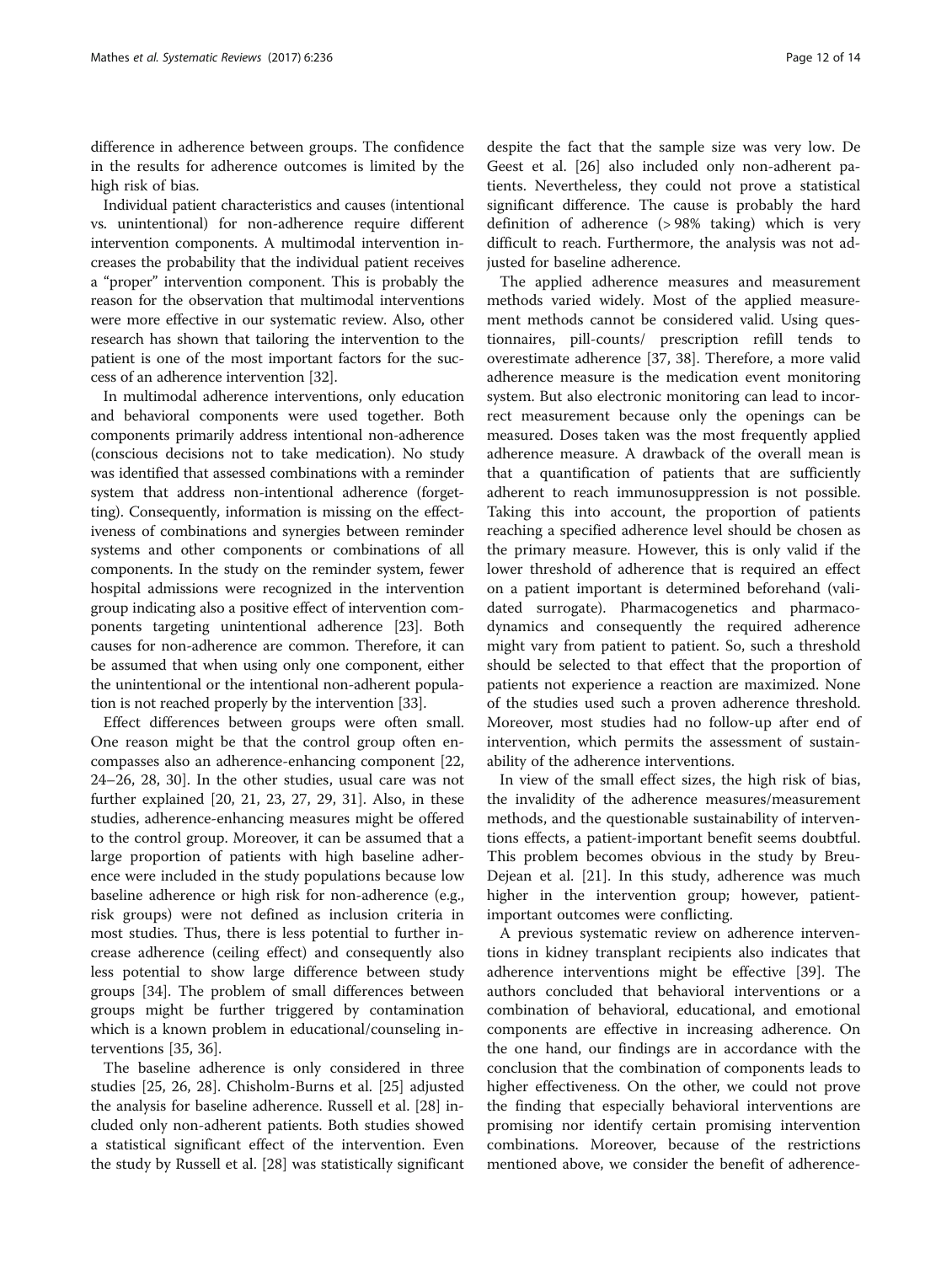difference in adherence between groups. The confidence in the results for adherence outcomes is limited by the high risk of bias.

Individual patient characteristics and causes (intentional vs. unintentional) for non-adherence require different intervention components. A multimodal intervention increases the probability that the individual patient receives a "proper" intervention component. This is probably the reason for the observation that multimodal interventions were more effective in our systematic review. Also, other research has shown that tailoring the intervention to the patient is one of the most important factors for the success of an adherence intervention [\[32\]](#page-13-0).

In multimodal adherence interventions, only education and behavioral components were used together. Both components primarily address intentional non-adherence (conscious decisions not to take medication). No study was identified that assessed combinations with a reminder system that address non-intentional adherence (forgetting). Consequently, information is missing on the effectiveness of combinations and synergies between reminder systems and other components or combinations of all components. In the study on the reminder system, fewer hospital admissions were recognized in the intervention group indicating also a positive effect of intervention components targeting unintentional adherence [[23](#page-13-0)]. Both causes for non-adherence are common. Therefore, it can be assumed that when using only one component, either the unintentional or the intentional non-adherent population is not reached properly by the intervention [\[33\]](#page-13-0).

Effect differences between groups were often small. One reason might be that the control group often encompasses also an adherence-enhancing component [[22](#page-13-0), [24](#page-13-0)–[26](#page-13-0), [28](#page-13-0), [30\]](#page-13-0). In the other studies, usual care was not further explained [[20, 21, 23](#page-13-0), [27](#page-13-0), [29](#page-13-0), [31\]](#page-13-0). Also, in these studies, adherence-enhancing measures might be offered to the control group. Moreover, it can be assumed that a large proportion of patients with high baseline adherence were included in the study populations because low baseline adherence or high risk for non-adherence (e.g., risk groups) were not defined as inclusion criteria in most studies. Thus, there is less potential to further increase adherence (ceiling effect) and consequently also less potential to show large difference between study groups [[34\]](#page-13-0). The problem of small differences between groups might be further triggered by contamination which is a known problem in educational/counseling interventions [[35, 36](#page-13-0)].

The baseline adherence is only considered in three studies [[25, 26](#page-13-0), [28\]](#page-13-0). Chisholm-Burns et al. [[25\]](#page-13-0) adjusted the analysis for baseline adherence. Russell et al. [[28\]](#page-13-0) included only non-adherent patients. Both studies showed a statistical significant effect of the intervention. Even the study by Russell et al. [[28\]](#page-13-0) was statistically significant

despite the fact that the sample size was very low. De Geest et al. [[26\]](#page-13-0) also included only non-adherent patients. Nevertheless, they could not prove a statistical significant difference. The cause is probably the hard definition of adherence (> 98% taking) which is very difficult to reach. Furthermore, the analysis was not adjusted for baseline adherence.

The applied adherence measures and measurement methods varied widely. Most of the applied measurement methods cannot be considered valid. Using questionnaires, pill-counts/ prescription refill tends to overestimate adherence [[37, 38\]](#page-13-0). Therefore, a more valid adherence measure is the medication event monitoring system. But also electronic monitoring can lead to incorrect measurement because only the openings can be measured. Doses taken was the most frequently applied adherence measure. A drawback of the overall mean is that a quantification of patients that are sufficiently adherent to reach immunosuppression is not possible. Taking this into account, the proportion of patients reaching a specified adherence level should be chosen as the primary measure. However, this is only valid if the lower threshold of adherence that is required an effect on a patient important is determined beforehand (validated surrogate). Pharmacogenetics and pharmacodynamics and consequently the required adherence might vary from patient to patient. So, such a threshold should be selected to that effect that the proportion of patients not experience a reaction are maximized. None of the studies used such a proven adherence threshold. Moreover, most studies had no follow-up after end of intervention, which permits the assessment of sustainability of the adherence interventions.

In view of the small effect sizes, the high risk of bias, the invalidity of the adherence measures/measurement methods, and the questionable sustainability of interventions effects, a patient-important benefit seems doubtful. This problem becomes obvious in the study by Breu-Dejean et al. [\[21](#page-13-0)]. In this study, adherence was much higher in the intervention group; however, patientimportant outcomes were conflicting.

A previous systematic review on adherence interventions in kidney transplant recipients also indicates that adherence interventions might be effective [\[39\]](#page-13-0). The authors concluded that behavioral interventions or a combination of behavioral, educational, and emotional components are effective in increasing adherence. On the one hand, our findings are in accordance with the conclusion that the combination of components leads to higher effectiveness. On the other, we could not prove the finding that especially behavioral interventions are promising nor identify certain promising intervention combinations. Moreover, because of the restrictions mentioned above, we consider the benefit of adherence-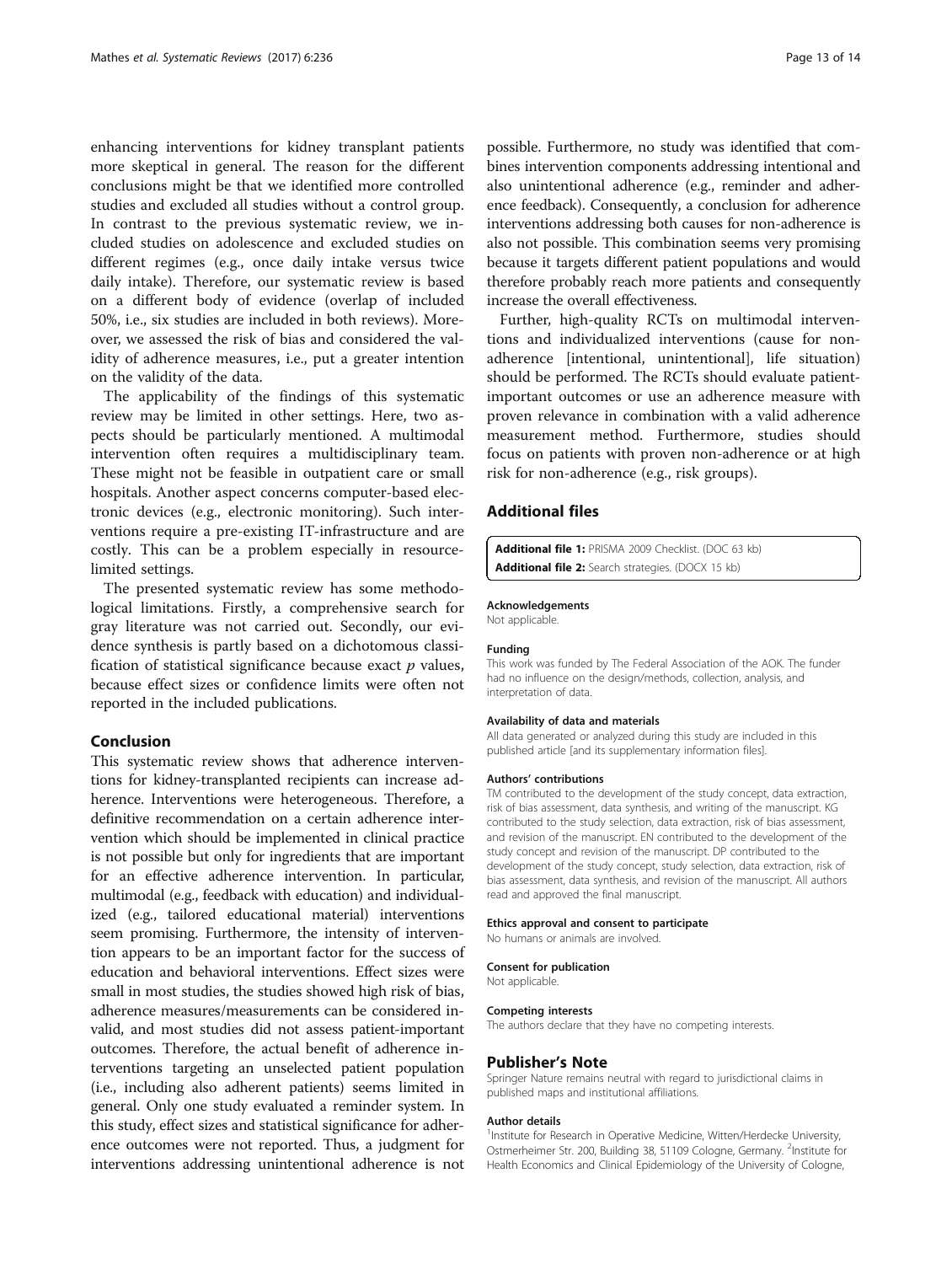<span id="page-12-0"></span>enhancing interventions for kidney transplant patients more skeptical in general. The reason for the different conclusions might be that we identified more controlled studies and excluded all studies without a control group. In contrast to the previous systematic review, we included studies on adolescence and excluded studies on different regimes (e.g., once daily intake versus twice daily intake). Therefore, our systematic review is based on a different body of evidence (overlap of included 50%, i.e., six studies are included in both reviews). Moreover, we assessed the risk of bias and considered the validity of adherence measures, i.e., put a greater intention on the validity of the data.

The applicability of the findings of this systematic review may be limited in other settings. Here, two aspects should be particularly mentioned. A multimodal intervention often requires a multidisciplinary team. These might not be feasible in outpatient care or small hospitals. Another aspect concerns computer-based electronic devices (e.g., electronic monitoring). Such interventions require a pre-existing IT-infrastructure and are costly. This can be a problem especially in resourcelimited settings.

The presented systematic review has some methodological limitations. Firstly, a comprehensive search for gray literature was not carried out. Secondly, our evidence synthesis is partly based on a dichotomous classification of statistical significance because exact  $p$  values, because effect sizes or confidence limits were often not reported in the included publications.

# Conclusion

This systematic review shows that adherence interventions for kidney-transplanted recipients can increase adherence. Interventions were heterogeneous. Therefore, a definitive recommendation on a certain adherence intervention which should be implemented in clinical practice is not possible but only for ingredients that are important for an effective adherence intervention. In particular, multimodal (e.g., feedback with education) and individualized (e.g., tailored educational material) interventions seem promising. Furthermore, the intensity of intervention appears to be an important factor for the success of education and behavioral interventions. Effect sizes were small in most studies, the studies showed high risk of bias, adherence measures/measurements can be considered invalid, and most studies did not assess patient-important outcomes. Therefore, the actual benefit of adherence interventions targeting an unselected patient population (i.e., including also adherent patients) seems limited in general. Only one study evaluated a reminder system. In this study, effect sizes and statistical significance for adherence outcomes were not reported. Thus, a judgment for interventions addressing unintentional adherence is not

possible. Furthermore, no study was identified that combines intervention components addressing intentional and also unintentional adherence (e.g., reminder and adherence feedback). Consequently, a conclusion for adherence interventions addressing both causes for non-adherence is also not possible. This combination seems very promising because it targets different patient populations and would therefore probably reach more patients and consequently increase the overall effectiveness.

Further, high-quality RCTs on multimodal interventions and individualized interventions (cause for nonadherence [intentional, unintentional], life situation) should be performed. The RCTs should evaluate patientimportant outcomes or use an adherence measure with proven relevance in combination with a valid adherence measurement method. Furthermore, studies should focus on patients with proven non-adherence or at high risk for non-adherence (e.g., risk groups).

#### Additional files

[Additional file 1:](dx.doi.org/10.1186/s13643-017-0633-1) PRISMA 2009 Checklist. (DOC 63 kb) [Additional file 2:](dx.doi.org/10.1186/s13643-017-0633-1) Search strategies. (DOCX 15 kb)

#### Acknowledgements

Not applicable.

#### Funding

This work was funded by The Federal Association of the AOK. The funder had no influence on the design/methods, collection, analysis, and interpretation of data.

#### Availability of data and materials

All data generated or analyzed during this study are included in this published article [and its supplementary information files].

#### Authors' contributions

TM contributed to the development of the study concept, data extraction, risk of bias assessment, data synthesis, and writing of the manuscript. KG contributed to the study selection, data extraction, risk of bias assessment, and revision of the manuscript. EN contributed to the development of the study concept and revision of the manuscript. DP contributed to the development of the study concept, study selection, data extraction, risk of bias assessment, data synthesis, and revision of the manuscript. All authors read and approved the final manuscript.

#### Ethics approval and consent to participate

No humans or animals are involved.

#### Consent for publication

Not applicable.

#### Competing interests

The authors declare that they have no competing interests.

#### Publisher's Note

Springer Nature remains neutral with regard to jurisdictional claims in published maps and institutional affiliations.

#### Author details

<sup>1</sup>Institute for Research in Operative Medicine, Witten/Herdecke University, Ostmerheimer Str. 200, Building 38, 51109 Cologne, Germany. <sup>2</sup>Institute for Health Economics and Clinical Epidemiology of the University of Cologne,